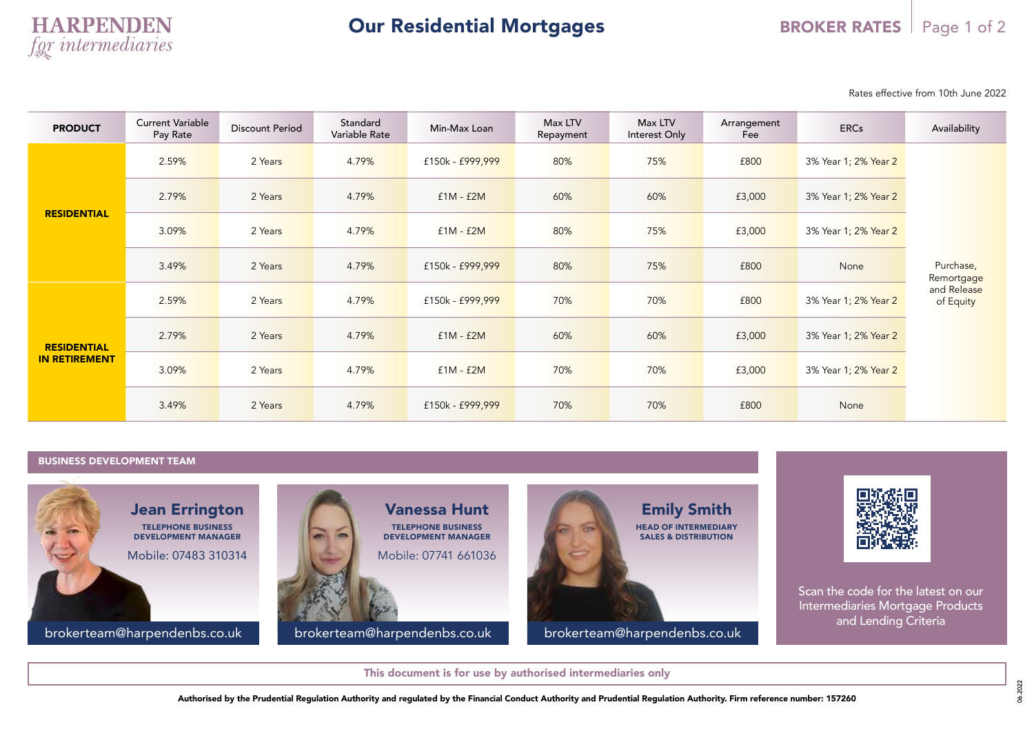Rates effective from 10th June 2022

| <b>PRODUCT</b>                             | <b>Current Variable</b><br>Pay Rate | <b>Discount Period</b> | Standard<br>Variable Rate | Min-Max Loan     | Max LTV<br>Repayment | Max LTV<br>Interest Only | Arrangement<br>Fee | <b>ERCs</b>          | Availability                                        |  |
|--------------------------------------------|-------------------------------------|------------------------|---------------------------|------------------|----------------------|--------------------------|--------------------|----------------------|-----------------------------------------------------|--|
| <b>RESIDENTIAL</b>                         | 2.59%                               | 2 Years                | 4.79%                     | £150k - £999,999 | 80%                  | 75%                      | £800               | 3% Year 1; 2% Year 2 |                                                     |  |
|                                            | 2.79%                               | 2 Years                | 4.79%                     | $f1M - f2M$      | 60%                  | 60%                      | £3,000             | 3% Year 1; 2% Year 2 | Purchase,<br>Remortgage<br>and Release<br>of Equity |  |
|                                            | 3.09%                               | 2 Years                | 4.79%                     | $f1M - f2M$      | 80%                  | 75%                      | £3,000             | 3% Year 1; 2% Year 2 |                                                     |  |
|                                            | 3.49%                               | 2 Years                | 4.79%                     | £150k - £999,999 | 80%                  | 75%                      | £800               | None                 |                                                     |  |
| <b>RESIDENTIAL</b><br><b>IN RETIREMENT</b> | 2.59%                               | 2 Years                | 4.79%                     | £150k - £999,999 | 70%                  | 70%                      | £800               | 3% Year 1; 2% Year 2 |                                                     |  |
|                                            | 2.79%                               | 2 Years                | 4.79%                     | $f1M - f2M$      | 60%                  | 60%                      | £3,000             | 3% Year 1; 2% Year 2 |                                                     |  |
|                                            | 3.09%                               | 2 Years                | 4.79%                     | $f1M - f2M$      | 70%                  | 70%                      | £3,000             | 3% Year 1; 2% Year 2 |                                                     |  |
|                                            | 3.49%                               | 2 Years                | 4.79%                     | £150k - £999,999 | 70%                  | 70%                      | £800               | None                 |                                                     |  |

## BUSINESS DEVELOPMENT TEAM





Scan the code for the latest on our Intermediaries Mortgage Products and Lending Criteria

06.2022

This document is for use by authorised intermediaries only